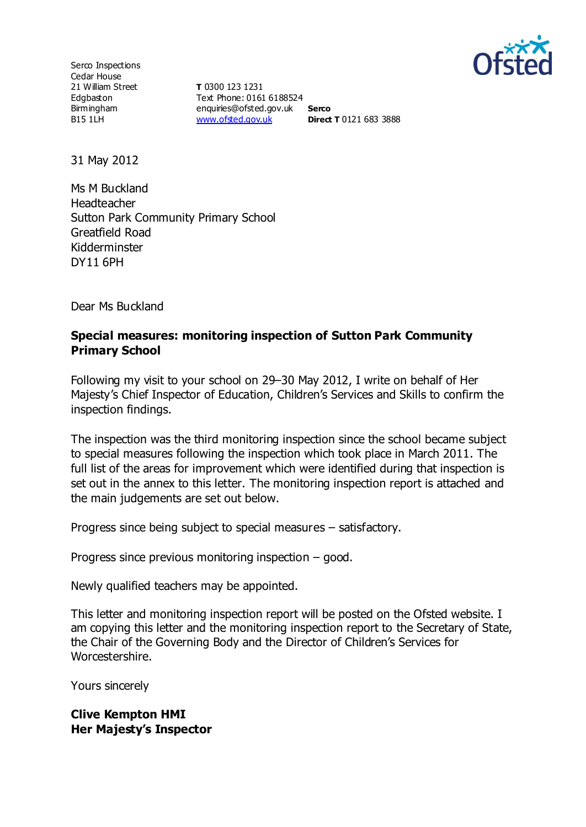

Serco Inspections Cedar House 21 William Street Edgbaston Birmingham B15 1LH

**T** 0300 123 1231 Text Phone: 0161 6188524 enquiries@ofsted.gov.uk **Serco** [www.ofsted.gov.uk](http://www.ofsted.gov.uk/) **Direct T** 0121 683 3888

31 May 2012

Ms M Buckland Headteacher Sutton Park Community Primary School Greatfield Road Kidderminster DY11 6PH

Dear Ms Buckland

### **Special measures: monitoring inspection of Sutton Park Community Primary School**

Following my visit to your school on 29–30 May 2012, I write on behalf of Her Majesty's Chief Inspector of Education, Children's Services and Skills to confirm the inspection findings.

The inspection was the third monitoring inspection since the school became subject to special measures following the inspection which took place in March 2011. The full list of the areas for improvement which were identified during that inspection is set out in the annex to this letter. The monitoring inspection report is attached and the main judgements are set out below.

Progress since being subject to special measures – satisfactory.

Progress since previous monitoring inspection – good.

Newly qualified teachers may be appointed.

This letter and monitoring inspection report will be posted on the Ofsted website. I am copying this letter and the monitoring inspection report to the Secretary of State, the Chair of the Governing Body and the Director of Children's Services for Worcestershire.

Yours sincerely

**Clive Kempton HMI Her Majesty's Inspector**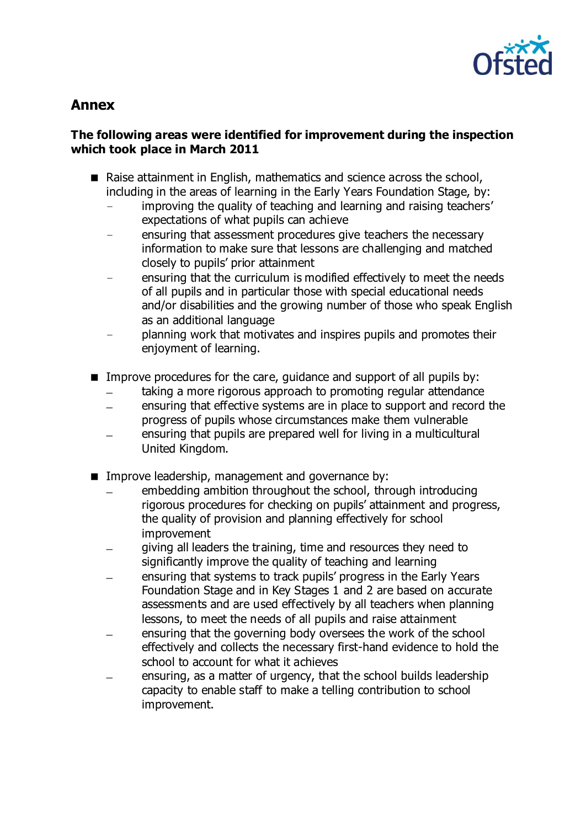

# **Annex**

### **The following areas were identified for improvement during the inspection which took place in March 2011**

- Raise attainment in English, mathematics and science across the school, including in the areas of learning in the Early Years Foundation Stage, by:
	- improving the quality of teaching and learning and raising teachers' expectations of what pupils can achieve
	- ensuring that assessment procedures give teachers the necessary information to make sure that lessons are challenging and matched closely to pupils' prior attainment
	- ensuring that the curriculum is modified effectively to meet the needs of all pupils and in particular those with special educational needs and/or disabilities and the growing number of those who speak English as an additional language
	- planning work that motivates and inspires pupils and promotes their enjoyment of learning.
- Improve procedures for the care, guidance and support of all pupils by:
	- taking a more rigorous approach to promoting regular attendance
	- ensuring that effective systems are in place to support and record the progress of pupils whose circumstances make them vulnerable
	- ensuring that pupils are prepared well for living in a multicultural United Kingdom.
- Improve leadership, management and governance by:
	- embedding ambition throughout the school, through introducing rigorous procedures for checking on pupils' attainment and progress, the quality of provision and planning effectively for school improvement
	- giving all leaders the training, time and resources they need to significantly improve the quality of teaching and learning
	- ensuring that systems to track pupils' progress in the Early Years Foundation Stage and in Key Stages 1 and 2 are based on accurate assessments and are used effectively by all teachers when planning lessons, to meet the needs of all pupils and raise attainment
	- ensuring that the governing body oversees the work of the school effectively and collects the necessary first-hand evidence to hold the school to account for what it achieves
	- ensuring, as a matter of urgency, that the school builds leadership capacity to enable staff to make a telling contribution to school improvement.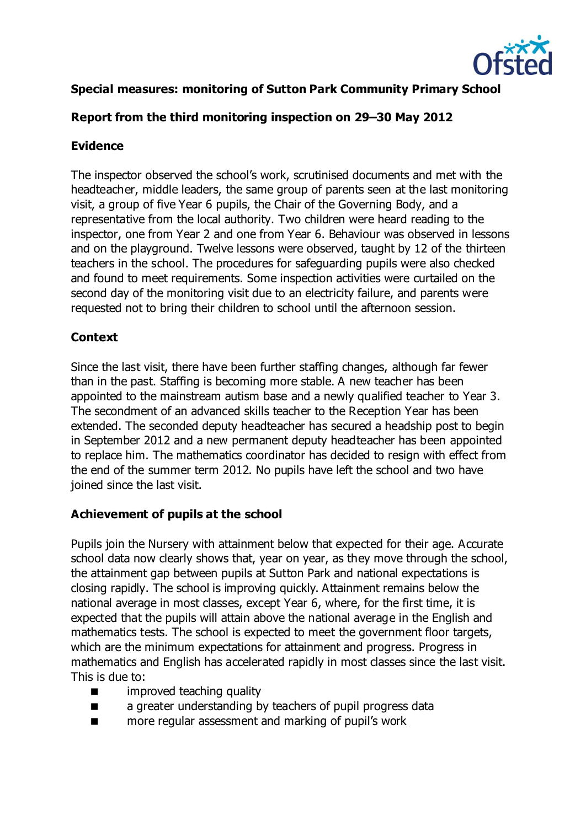

# **Special measures: monitoring of Sutton Park Community Primary School**

# **Report from the third monitoring inspection on 29–30 May 2012**

# **Evidence**

The inspector observed the school's work, scrutinised documents and met with the headteacher, middle leaders, the same group of parents seen at the last monitoring visit, a group of five Year 6 pupils, the Chair of the Governing Body, and a representative from the local authority. Two children were heard reading to the inspector, one from Year 2 and one from Year 6. Behaviour was observed in lessons and on the playground. Twelve lessons were observed, taught by 12 of the thirteen teachers in the school. The procedures for safeguarding pupils were also checked and found to meet requirements. Some inspection activities were curtailed on the second day of the monitoring visit due to an electricity failure, and parents were requested not to bring their children to school until the afternoon session.

# **Context**

Since the last visit, there have been further staffing changes, although far fewer than in the past. Staffing is becoming more stable. A new teacher has been appointed to the mainstream autism base and a newly qualified teacher to Year 3. The secondment of an advanced skills teacher to the Reception Year has been extended. The seconded deputy headteacher has secured a headship post to begin in September 2012 and a new permanent deputy headteacher has been appointed to replace him. The mathematics coordinator has decided to resign with effect from the end of the summer term 2012. No pupils have left the school and two have joined since the last visit.

# **Achievement of pupils at the school**

Pupils join the Nursery with attainment below that expected for their age. Accurate school data now clearly shows that, year on year, as they move through the school, the attainment gap between pupils at Sutton Park and national expectations is closing rapidly. The school is improving quickly. Attainment remains below the national average in most classes, except Year 6, where, for the first time, it is expected that the pupils will attain above the national average in the English and mathematics tests. The school is expected to meet the government floor targets, which are the minimum expectations for attainment and progress. Progress in mathematics and English has accelerated rapidly in most classes since the last visit. This is due to:

- **n** improved teaching quality
- **a** a greater understanding by teachers of pupil progress data
- more regular assessment and marking of pupil's work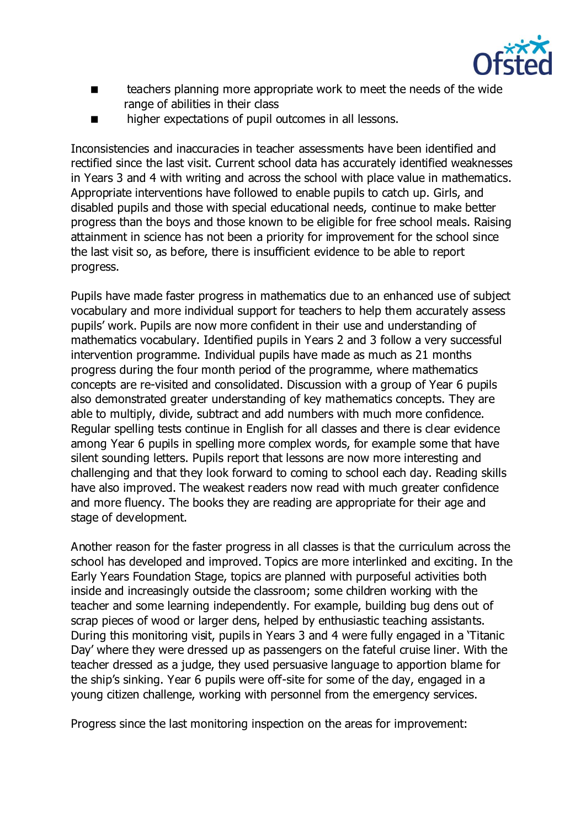

- **EXECUTE:** teachers planning more appropriate work to meet the needs of the wide range of abilities in their class
- **net in the interest in the expectations of pupil outcomes in all lessons.**

Inconsistencies and inaccuracies in teacher assessments have been identified and rectified since the last visit. Current school data has accurately identified weaknesses in Years 3 and 4 with writing and across the school with place value in mathematics. Appropriate interventions have followed to enable pupils to catch up. Girls, and disabled pupils and those with special educational needs, continue to make better progress than the boys and those known to be eligible for free school meals. Raising attainment in science has not been a priority for improvement for the school since the last visit so, as before, there is insufficient evidence to be able to report progress.

Pupils have made faster progress in mathematics due to an enhanced use of subject vocabulary and more individual support for teachers to help them accurately assess pupils' work. Pupils are now more confident in their use and understanding of mathematics vocabulary. Identified pupils in Years 2 and 3 follow a very successful intervention programme. Individual pupils have made as much as 21 months progress during the four month period of the programme, where mathematics concepts are re-visited and consolidated. Discussion with a group of Year 6 pupils also demonstrated greater understanding of key mathematics concepts. They are able to multiply, divide, subtract and add numbers with much more confidence. Regular spelling tests continue in English for all classes and there is clear evidence among Year 6 pupils in spelling more complex words, for example some that have silent sounding letters. Pupils report that lessons are now more interesting and challenging and that they look forward to coming to school each day. Reading skills have also improved. The weakest readers now read with much greater confidence and more fluency. The books they are reading are appropriate for their age and stage of development.

Another reason for the faster progress in all classes is that the curriculum across the school has developed and improved. Topics are more interlinked and exciting. In the Early Years Foundation Stage, topics are planned with purposeful activities both inside and increasingly outside the classroom; some children working with the teacher and some learning independently. For example, building bug dens out of scrap pieces of wood or larger dens, helped by enthusiastic teaching assistants. During this monitoring visit, pupils in Years 3 and 4 were fully engaged in a 'Titanic Day' where they were dressed up as passengers on the fateful cruise liner. With the teacher dressed as a judge, they used persuasive language to apportion blame for the ship's sinking. Year 6 pupils were off-site for some of the day, engaged in a young citizen challenge, working with personnel from the emergency services.

Progress since the last monitoring inspection on the areas for improvement: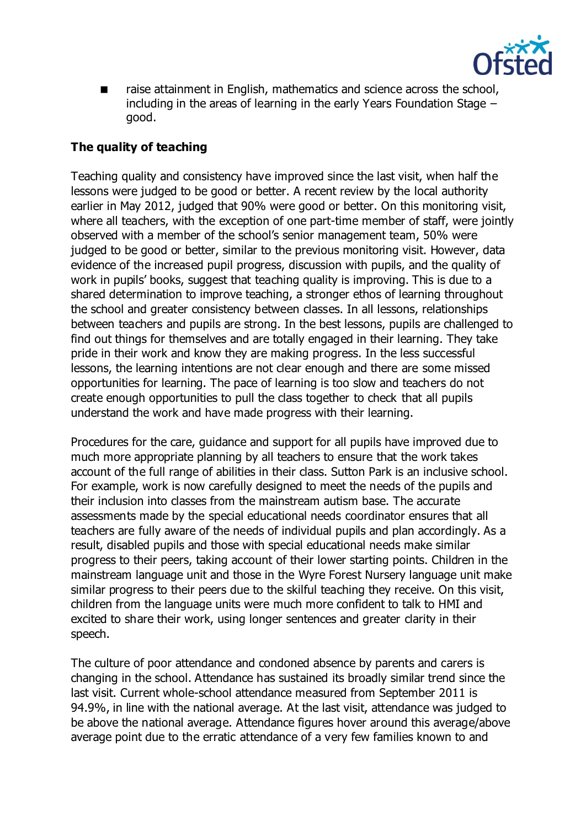

 raise attainment in English, mathematics and science across the school, including in the areas of learning in the early Years Foundation Stage – good.

### **The quality of teaching**

Teaching quality and consistency have improved since the last visit, when half the lessons were judged to be good or better. A recent review by the local authority earlier in May 2012, judged that 90% were good or better. On this monitoring visit, where all teachers, with the exception of one part-time member of staff, were jointly observed with a member of the school's senior management team, 50% were judged to be good or better, similar to the previous monitoring visit. However, data evidence of the increased pupil progress, discussion with pupils, and the quality of work in pupils' books, suggest that teaching quality is improving. This is due to a shared determination to improve teaching, a stronger ethos of learning throughout the school and greater consistency between classes. In all lessons, relationships between teachers and pupils are strong. In the best lessons, pupils are challenged to find out things for themselves and are totally engaged in their learning. They take pride in their work and know they are making progress. In the less successful lessons, the learning intentions are not clear enough and there are some missed opportunities for learning. The pace of learning is too slow and teachers do not create enough opportunities to pull the class together to check that all pupils understand the work and have made progress with their learning.

Procedures for the care, guidance and support for all pupils have improved due to much more appropriate planning by all teachers to ensure that the work takes account of the full range of abilities in their class. Sutton Park is an inclusive school. For example, work is now carefully designed to meet the needs of the pupils and their inclusion into classes from the mainstream autism base. The accurate assessments made by the special educational needs coordinator ensures that all teachers are fully aware of the needs of individual pupils and plan accordingly. As a result, disabled pupils and those with special educational needs make similar progress to their peers, taking account of their lower starting points. Children in the mainstream language unit and those in the Wyre Forest Nursery language unit make similar progress to their peers due to the skilful teaching they receive. On this visit, children from the language units were much more confident to talk to HMI and excited to share their work, using longer sentences and greater clarity in their speech.

The culture of poor attendance and condoned absence by parents and carers is changing in the school. Attendance has sustained its broadly similar trend since the last visit. Current whole-school attendance measured from September 2011 is 94.9%, in line with the national average. At the last visit, attendance was judged to be above the national average. Attendance figures hover around this average/above average point due to the erratic attendance of a very few families known to and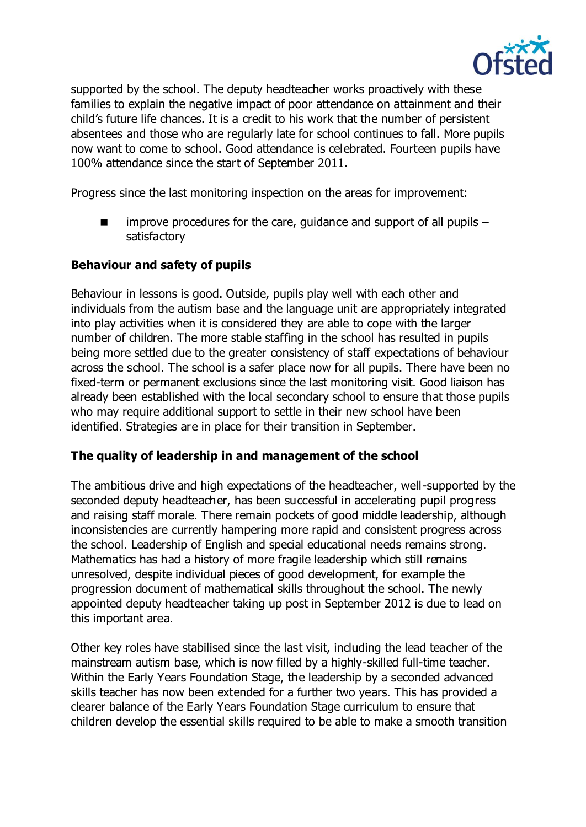

supported by the school. The deputy headteacher works proactively with these families to explain the negative impact of poor attendance on attainment and their child's future life chances. It is a credit to his work that the number of persistent absentees and those who are regularly late for school continues to fall. More pupils now want to come to school. Good attendance is celebrated. Fourteen pupils have 100% attendance since the start of September 2011.

Progress since the last monitoring inspection on the areas for improvement:

 $\blacksquare$  improve procedures for the care, quidance and support of all pupils – satisfactory

### **Behaviour and safety of pupils**

Behaviour in lessons is good. Outside, pupils play well with each other and individuals from the autism base and the language unit are appropriately integrated into play activities when it is considered they are able to cope with the larger number of children. The more stable staffing in the school has resulted in pupils being more settled due to the greater consistency of staff expectations of behaviour across the school. The school is a safer place now for all pupils. There have been no fixed-term or permanent exclusions since the last monitoring visit. Good liaison has already been established with the local secondary school to ensure that those pupils who may require additional support to settle in their new school have been identified. Strategies are in place for their transition in September.

### **The quality of leadership in and management of the school**

The ambitious drive and high expectations of the headteacher, well-supported by the seconded deputy headteacher, has been successful in accelerating pupil progress and raising staff morale. There remain pockets of good middle leadership, although inconsistencies are currently hampering more rapid and consistent progress across the school. Leadership of English and special educational needs remains strong. Mathematics has had a history of more fragile leadership which still remains unresolved, despite individual pieces of good development, for example the progression document of mathematical skills throughout the school. The newly appointed deputy headteacher taking up post in September 2012 is due to lead on this important area.

Other key roles have stabilised since the last visit, including the lead teacher of the mainstream autism base, which is now filled by a highly-skilled full-time teacher. Within the Early Years Foundation Stage, the leadership by a seconded advanced skills teacher has now been extended for a further two years. This has provided a clearer balance of the Early Years Foundation Stage curriculum to ensure that children develop the essential skills required to be able to make a smooth transition